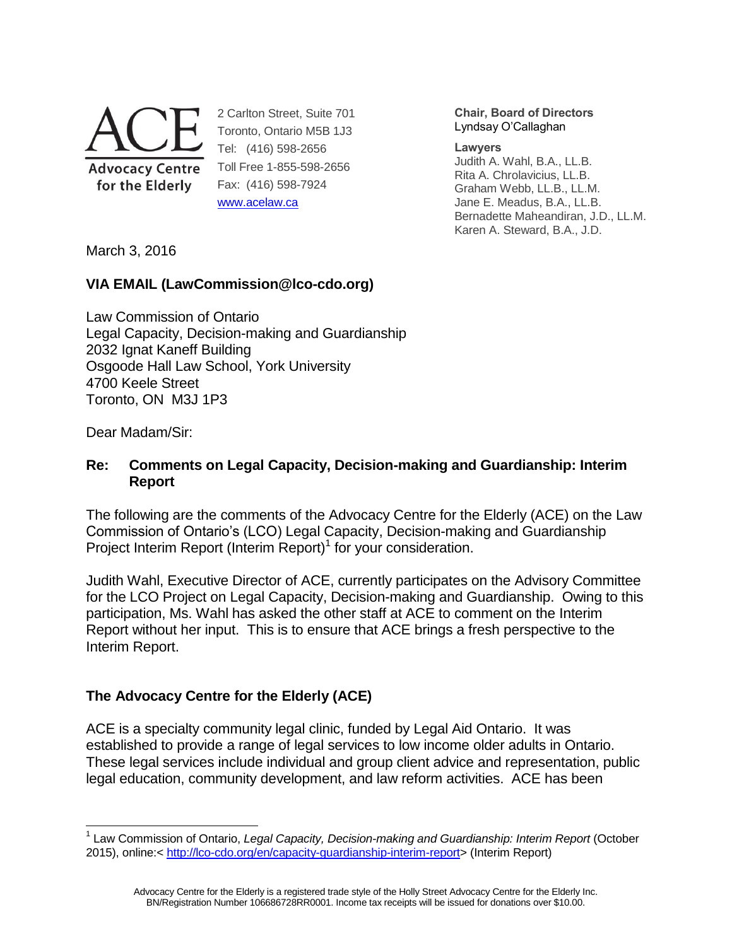

2 Carlton Street, Suite 701 Toronto, Ontario M5B 1J3 Tel: (416) 598-2656 Toll Free 1-855-598-2656 Fax: (416) 598-7924 [www.acelaw.ca](http://www.acelaw.ca/)

**Chair, Board of Directors** Lyndsay O'Callaghan

**Lawyers**

Judith A. Wahl, B.A., LL.B. Rita A. Chrolavicius, LL.B. Graham Webb, LL.B., LL.M. Jane E. Meadus, B.A., LL.B. Bernadette Maheandiran, J.D., LL.M. Karen A. Steward, B.A., J.D.

March 3, 2016

### **VIA EMAIL (LawCommission@lco-cdo.org)**

Law Commission of Ontario Legal Capacity, Decision-making and Guardianship 2032 Ignat Kaneff Building Osgoode Hall Law School, York University 4700 Keele Street Toronto, ON M3J 1P3

Dear Madam/Sir:

 $\overline{a}$ 

### **Re: Comments on Legal Capacity, Decision-making and Guardianship: Interim Report**

<span id="page-0-0"></span>The following are the comments of the Advocacy Centre for the Elderly (ACE) on the Law Commission of Ontario's (LCO) Legal Capacity, Decision-making and Guardianship Project Interim Report (Interim Report)<sup>1</sup> for your consideration.

Judith Wahl, Executive Director of ACE, currently participates on the Advisory Committee for the LCO Project on Legal Capacity, Decision-making and Guardianship. Owing to this participation, Ms. Wahl has asked the other staff at ACE to comment on the Interim Report without her input. This is to ensure that ACE brings a fresh perspective to the Interim Report.

### **The Advocacy Centre for the Elderly (ACE)**

ACE is a specialty community legal clinic, funded by Legal Aid Ontario. It was established to provide a range of legal services to low income older adults in Ontario. These legal services include individual and group client advice and representation, public legal education, community development, and law reform activities. ACE has been

Advocacy Centre for the Elderly is a registered trade style of the Holly Street Advocacy Centre for the Elderly Inc. BN/Registration Number 106686728RR0001. Income tax receipts will be issued for donations over \$10.00.

<sup>1</sup> Law Commission of Ontario, *Legal Capacity, Decision-making and Guardianship: Interim Report* (October 2015), online:< [http://lco-cdo.org/en/capacity-guardianship-interim-report>](http://lco-cdo.org/en/capacity-guardianship-interim-report) (Interim Report)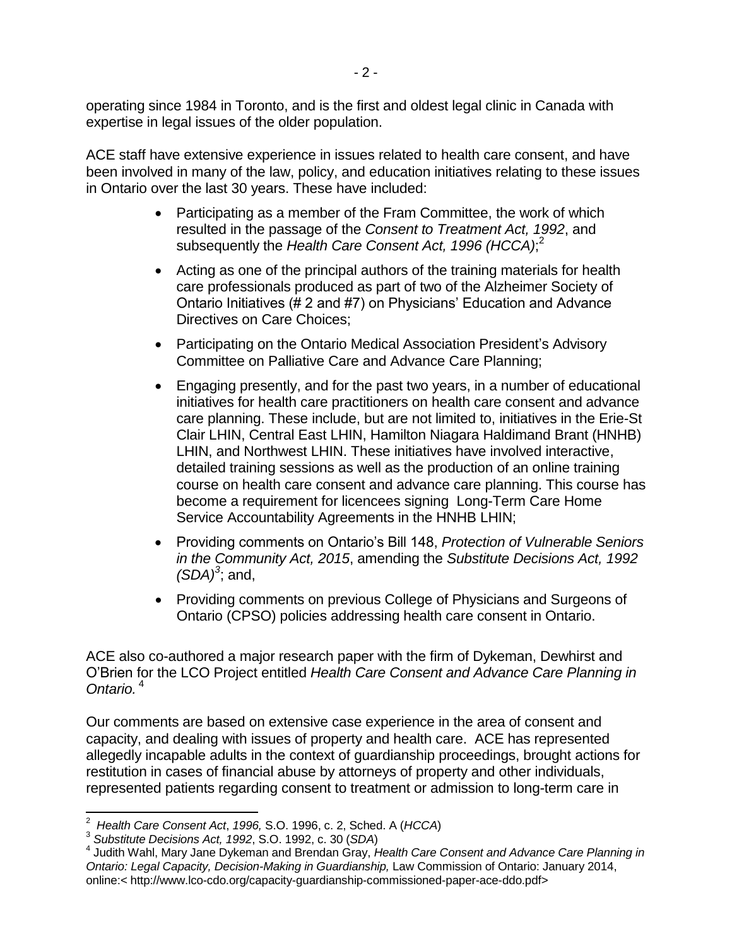operating since 1984 in Toronto, and is the first and oldest legal clinic in Canada with expertise in legal issues of the older population.

ACE staff have extensive experience in issues related to health care consent, and have been involved in many of the law, policy, and education initiatives relating to these issues in Ontario over the last 30 years. These have included:

- Participating as a member of the Fram Committee, the work of which resulted in the passage of the *Consent to Treatment Act, 1992*, and subsequently the *Health Care Consent Act, 1996 (HCCA)*; 2
- <span id="page-1-0"></span> Acting as one of the principal authors of the training materials for health care professionals produced as part of two of the Alzheimer Society of Ontario Initiatives (# 2 and #7) on Physicians' Education and Advance Directives on Care Choices;
- Participating on the Ontario Medical Association President's Advisory Committee on Palliative Care and Advance Care Planning;
- Engaging presently, and for the past two years, in a number of educational initiatives for health care practitioners on health care consent and advance care planning. These include, but are not limited to, initiatives in the Erie-St Clair LHIN, Central East LHIN, Hamilton Niagara Haldimand Brant (HNHB) LHIN, and Northwest LHIN. These initiatives have involved interactive, detailed training sessions as well as the production of an online training course on health care consent and advance care planning. This course has become a requirement for licencees signing Long-Term Care Home Service Accountability Agreements in the HNHB LHIN;
- Providing comments on Ontario's Bill 148, *Protection of Vulnerable Seniors in the Community Act, 2015*, amending the *Substitute Decisions Act, 1992*   $(SDA)^3$ ; and,
- <span id="page-1-1"></span>• Providing comments on previous College of Physicians and Surgeons of Ontario (CPSO) policies addressing health care consent in Ontario.

ACE also co-authored a major research paper with the firm of Dykeman, Dewhirst and O'Brien for the LCO Project entitled *Health Care Consent and Advance Care Planning in Ontario.* 4

Our comments are based on extensive case experience in the area of consent and capacity, and dealing with issues of property and health care. ACE has represented allegedly incapable adults in the context of guardianship proceedings, brought actions for restitution in cases of financial abuse by attorneys of property and other individuals, represented patients regarding consent to treatment or admission to long-term care in

 $\overline{a}$ 2 *Health Care Consent Act*, *1996,* S.O. 1996, c. 2, Sched. A (*HCCA*)

<sup>3</sup> *Substitute Decisions Act, 1992*, S.O. 1992, c. 30 (*SDA*)

<sup>4</sup> Judith Wahl, Mary Jane Dykeman and Brendan Gray, *Health Care Consent and Advance Care Planning in Ontario: Legal Capacity, Decision-Making in Guardianship,* Law Commission of Ontario: January 2014, online:< http://www.lco-cdo.org/capacity-guardianship-commissioned-paper-ace-ddo.pdf>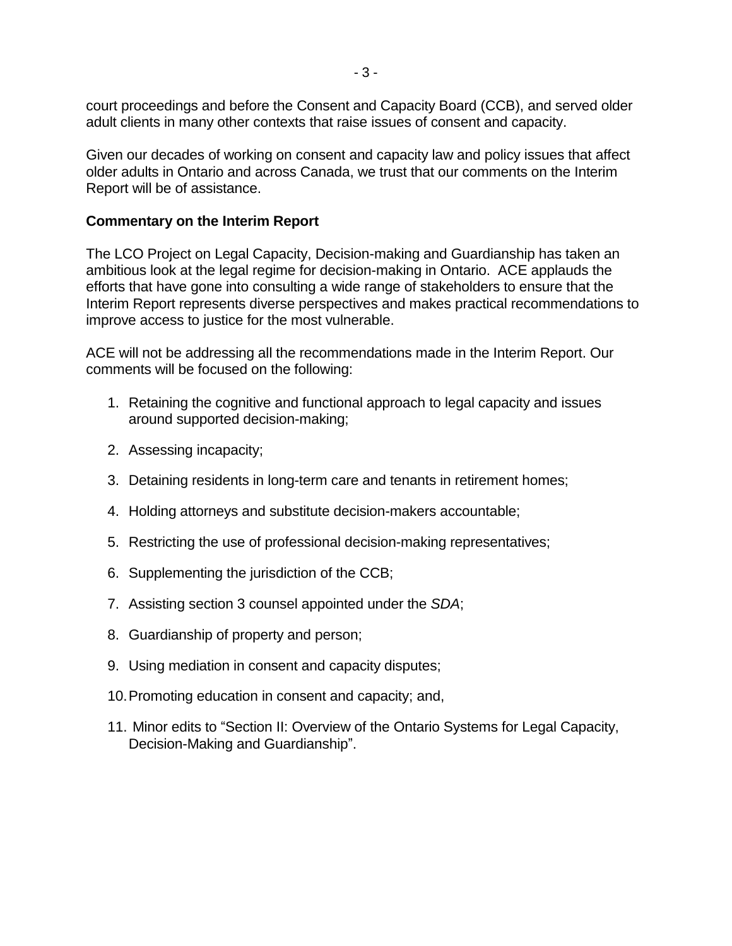court proceedings and before the Consent and Capacity Board (CCB), and served older adult clients in many other contexts that raise issues of consent and capacity.

Given our decades of working on consent and capacity law and policy issues that affect older adults in Ontario and across Canada, we trust that our comments on the Interim Report will be of assistance.

#### **Commentary on the Interim Report**

The LCO Project on Legal Capacity, Decision-making and Guardianship has taken an ambitious look at the legal regime for decision-making in Ontario. ACE applauds the efforts that have gone into consulting a wide range of stakeholders to ensure that the Interim Report represents diverse perspectives and makes practical recommendations to improve access to justice for the most vulnerable.

ACE will not be addressing all the recommendations made in the Interim Report. Our comments will be focused on the following:

- 1. Retaining the cognitive and functional approach to legal capacity and issues around supported decision-making;
- 2. Assessing incapacity;
- 3. Detaining residents in long-term care and tenants in retirement homes;
- 4. Holding attorneys and substitute decision-makers accountable;
- 5. Restricting the use of professional decision-making representatives;
- 6. Supplementing the jurisdiction of the CCB;
- 7. Assisting section 3 counsel appointed under the *SDA*;
- 8. Guardianship of property and person;
- 9. Using mediation in consent and capacity disputes;
- 10.Promoting education in consent and capacity; and,
- 11. Minor edits to "Section II: Overview of the Ontario Systems for Legal Capacity, Decision-Making and Guardianship".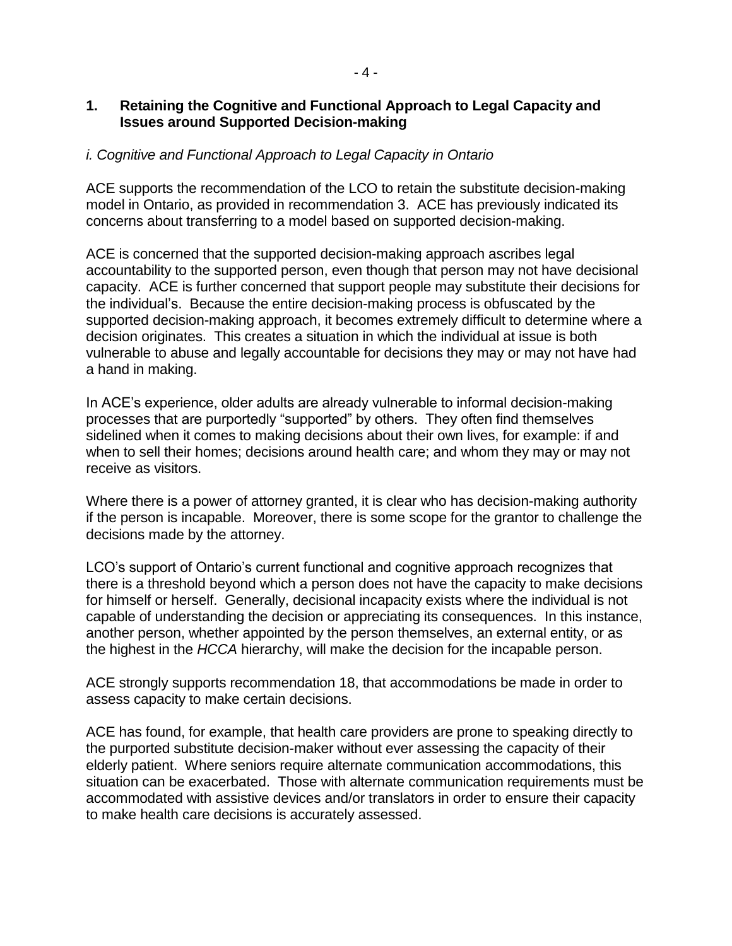### **1. Retaining the Cognitive and Functional Approach to Legal Capacity and Issues around Supported Decision-making**

### *i. Cognitive and Functional Approach to Legal Capacity in Ontario*

ACE supports the recommendation of the LCO to retain the substitute decision-making model in Ontario, as provided in recommendation 3. ACE has previously indicated its concerns about transferring to a model based on supported decision-making.

ACE is concerned that the supported decision-making approach ascribes legal accountability to the supported person, even though that person may not have decisional capacity. ACE is further concerned that support people may substitute their decisions for the individual's. Because the entire decision-making process is obfuscated by the supported decision-making approach, it becomes extremely difficult to determine where a decision originates. This creates a situation in which the individual at issue is both vulnerable to abuse and legally accountable for decisions they may or may not have had a hand in making.

In ACE's experience, older adults are already vulnerable to informal decision-making processes that are purportedly "supported" by others. They often find themselves sidelined when it comes to making decisions about their own lives, for example: if and when to sell their homes; decisions around health care; and whom they may or may not receive as visitors.

Where there is a power of attorney granted, it is clear who has decision-making authority if the person is incapable. Moreover, there is some scope for the grantor to challenge the decisions made by the attorney.

LCO's support of Ontario's current functional and cognitive approach recognizes that there is a threshold beyond which a person does not have the capacity to make decisions for himself or herself. Generally, decisional incapacity exists where the individual is not capable of understanding the decision or appreciating its consequences. In this instance, another person, whether appointed by the person themselves, an external entity, or as the highest in the *HCCA* hierarchy, will make the decision for the incapable person.

ACE strongly supports recommendation 18, that accommodations be made in order to assess capacity to make certain decisions.

ACE has found, for example, that health care providers are prone to speaking directly to the purported substitute decision-maker without ever assessing the capacity of their elderly patient. Where seniors require alternate communication accommodations, this situation can be exacerbated. Those with alternate communication requirements must be accommodated with assistive devices and/or translators in order to ensure their capacity to make health care decisions is accurately assessed.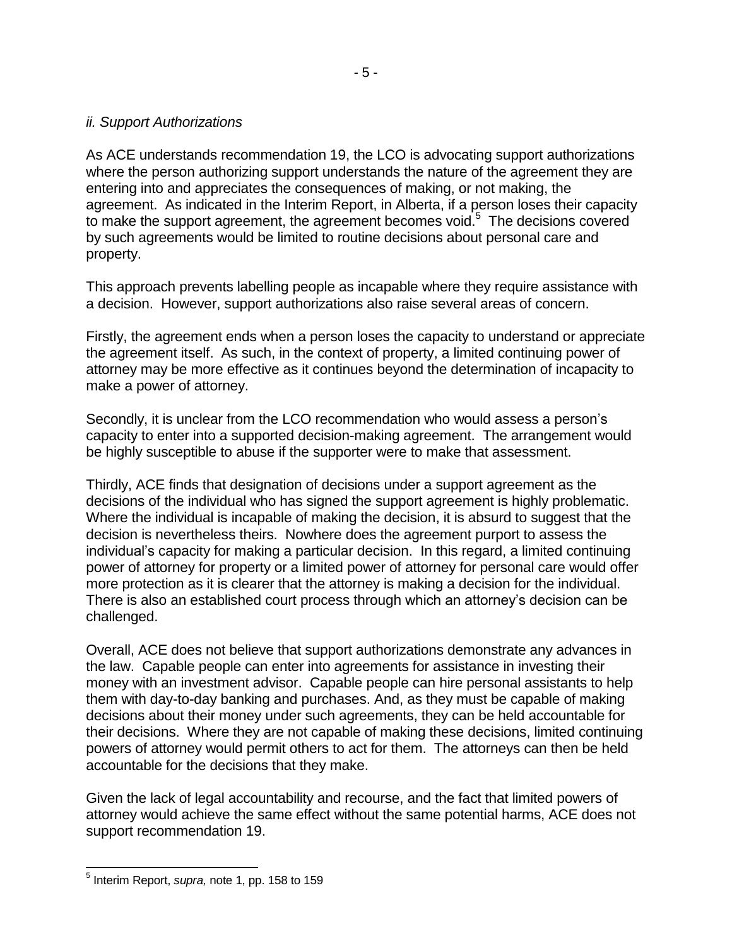As ACE understands recommendation 19, the LCO is advocating support authorizations where the person authorizing support understands the nature of the agreement they are entering into and appreciates the consequences of making, or not making, the agreement. As indicated in the Interim Report, in Alberta, if a person loses their capacity to make the support agreement, the agreement becomes void. $5$  The decisions covered by such agreements would be limited to routine decisions about personal care and property.

This approach prevents labelling people as incapable where they require assistance with a decision. However, support authorizations also raise several areas of concern.

Firstly, the agreement ends when a person loses the capacity to understand or appreciate the agreement itself. As such, in the context of property, a limited continuing power of attorney may be more effective as it continues beyond the determination of incapacity to make a power of attorney.

Secondly, it is unclear from the LCO recommendation who would assess a person's capacity to enter into a supported decision-making agreement. The arrangement would be highly susceptible to abuse if the supporter were to make that assessment.

Thirdly, ACE finds that designation of decisions under a support agreement as the decisions of the individual who has signed the support agreement is highly problematic. Where the individual is incapable of making the decision, it is absurd to suggest that the decision is nevertheless theirs. Nowhere does the agreement purport to assess the individual's capacity for making a particular decision. In this regard, a limited continuing power of attorney for property or a limited power of attorney for personal care would offer more protection as it is clearer that the attorney is making a decision for the individual. There is also an established court process through which an attorney's decision can be challenged.

Overall, ACE does not believe that support authorizations demonstrate any advances in the law. Capable people can enter into agreements for assistance in investing their money with an investment advisor. Capable people can hire personal assistants to help them with day-to-day banking and purchases. And, as they must be capable of making decisions about their money under such agreements, they can be held accountable for their decisions. Where they are not capable of making these decisions, limited continuing powers of attorney would permit others to act for them. The attorneys can then be held accountable for the decisions that they make.

Given the lack of legal accountability and recourse, and the fact that limited powers of attorney would achieve the same effect without the same potential harms, ACE does not support recommendation 19.

 5 Interim Report, *supra,* note [1,](#page-0-0) pp. 158 to 159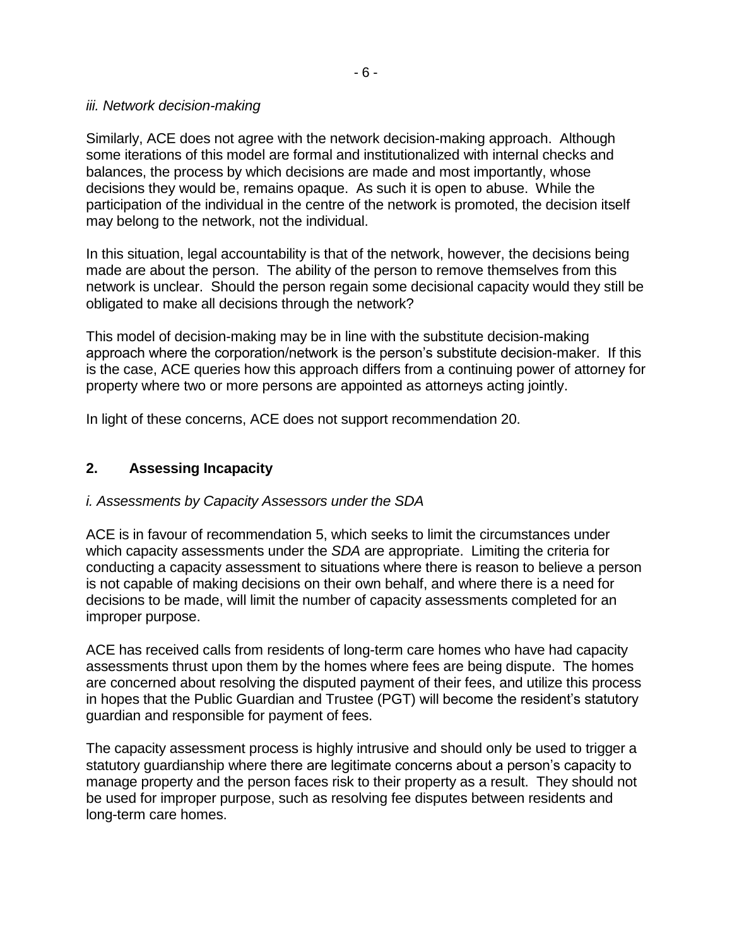#### *iii. Network decision-making*

Similarly, ACE does not agree with the network decision-making approach. Although some iterations of this model are formal and institutionalized with internal checks and balances, the process by which decisions are made and most importantly, whose decisions they would be, remains opaque. As such it is open to abuse. While the participation of the individual in the centre of the network is promoted, the decision itself may belong to the network, not the individual.

In this situation, legal accountability is that of the network, however, the decisions being made are about the person. The ability of the person to remove themselves from this network is unclear. Should the person regain some decisional capacity would they still be obligated to make all decisions through the network?

This model of decision-making may be in line with the substitute decision-making approach where the corporation/network is the person's substitute decision-maker. If this is the case, ACE queries how this approach differs from a continuing power of attorney for property where two or more persons are appointed as attorneys acting jointly.

In light of these concerns, ACE does not support recommendation 20.

### **2. Assessing Incapacity**

### *i. Assessments by Capacity Assessors under the SDA*

ACE is in favour of recommendation 5, which seeks to limit the circumstances under which capacity assessments under the *SDA* are appropriate. Limiting the criteria for conducting a capacity assessment to situations where there is reason to believe a person is not capable of making decisions on their own behalf, and where there is a need for decisions to be made, will limit the number of capacity assessments completed for an improper purpose.

ACE has received calls from residents of long-term care homes who have had capacity assessments thrust upon them by the homes where fees are being dispute. The homes are concerned about resolving the disputed payment of their fees, and utilize this process in hopes that the Public Guardian and Trustee (PGT) will become the resident's statutory guardian and responsible for payment of fees.

The capacity assessment process is highly intrusive and should only be used to trigger a statutory guardianship where there are legitimate concerns about a person's capacity to manage property and the person faces risk to their property as a result. They should not be used for improper purpose, such as resolving fee disputes between residents and long-term care homes.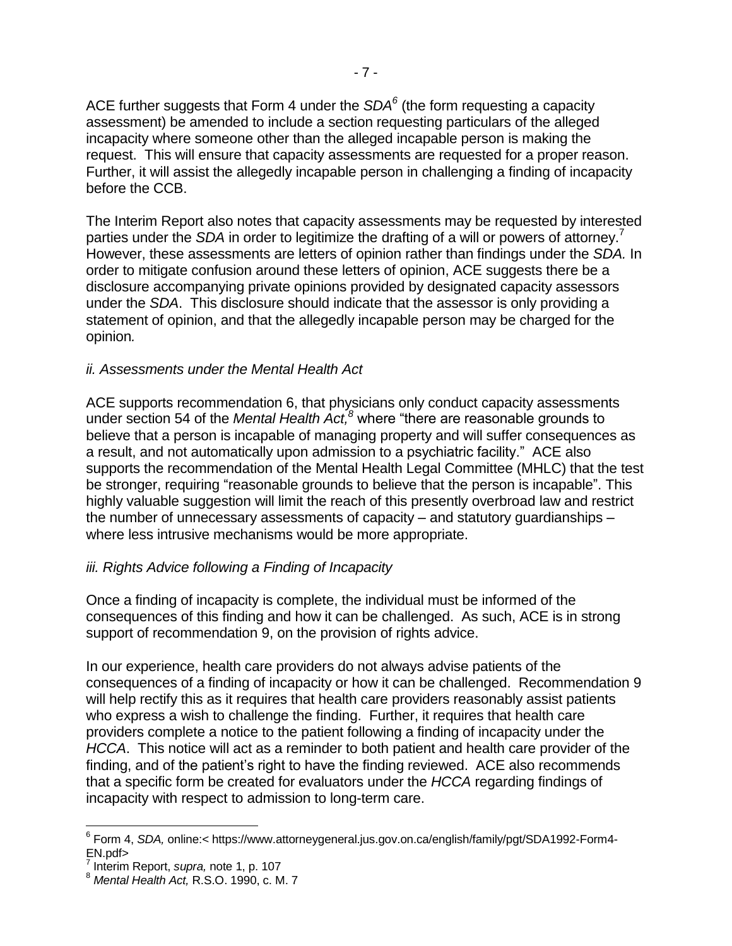ACE further suggests that Form 4 under the *SDA<sup>6</sup>* (the form requesting a capacity assessment) be amended to include a section requesting particulars of the alleged incapacity where someone other than the alleged incapable person is making the request. This will ensure that capacity assessments are requested for a proper reason. Further, it will assist the allegedly incapable person in challenging a finding of incapacity before the CCB.

The Interim Report also notes that capacity assessments may be requested by interested parties under the *SDA* in order to legitimize the drafting of a will or powers of attorney.<sup>7</sup> However, these assessments are letters of opinion rather than findings under the *SDA.* In order to mitigate confusion around these letters of opinion, ACE suggests there be a disclosure accompanying private opinions provided by designated capacity assessors under the *SDA*. This disclosure should indicate that the assessor is only providing a statement of opinion, and that the allegedly incapable person may be charged for the opinion*.*

#### *ii. Assessments under the Mental Health Act*

<span id="page-6-0"></span>ACE supports recommendation 6, that physicians only conduct capacity assessments under section 54 of the *Mental Health Act,<sup>8</sup>* where "there are reasonable grounds to believe that a person is incapable of managing property and will suffer consequences as a result, and not automatically upon admission to a psychiatric facility." ACE also supports the recommendation of the Mental Health Legal Committee (MHLC) that the test be stronger, requiring "reasonable grounds to believe that the person is incapable". This highly valuable suggestion will limit the reach of this presently overbroad law and restrict the number of unnecessary assessments of capacity – and statutory guardianships – where less intrusive mechanisms would be more appropriate.

### *iii. Rights Advice following a Finding of Incapacity*

Once a finding of incapacity is complete, the individual must be informed of the consequences of this finding and how it can be challenged. As such, ACE is in strong support of recommendation 9, on the provision of rights advice.

In our experience, health care providers do not always advise patients of the consequences of a finding of incapacity or how it can be challenged. Recommendation 9 will help rectify this as it requires that health care providers reasonably assist patients who express a wish to challenge the finding. Further, it requires that health care providers complete a notice to the patient following a finding of incapacity under the *HCCA*. This notice will act as a reminder to both patient and health care provider of the finding, and of the patient's right to have the finding reviewed. ACE also recommends that a specific form be created for evaluators under the *HCCA* regarding findings of incapacity with respect to admission to long-term care.

j

<sup>6</sup> Form 4, *SDA,* online:< https://www.attorneygeneral.jus.gov.on.ca/english/family/pgt/SDA1992-Form4- EN.pdf>

<sup>7</sup> Interim Report, *supra,* note [1,](#page-0-0) p. 107

<sup>8</sup> *Mental Health Act,* R.S.O. 1990, c. M. 7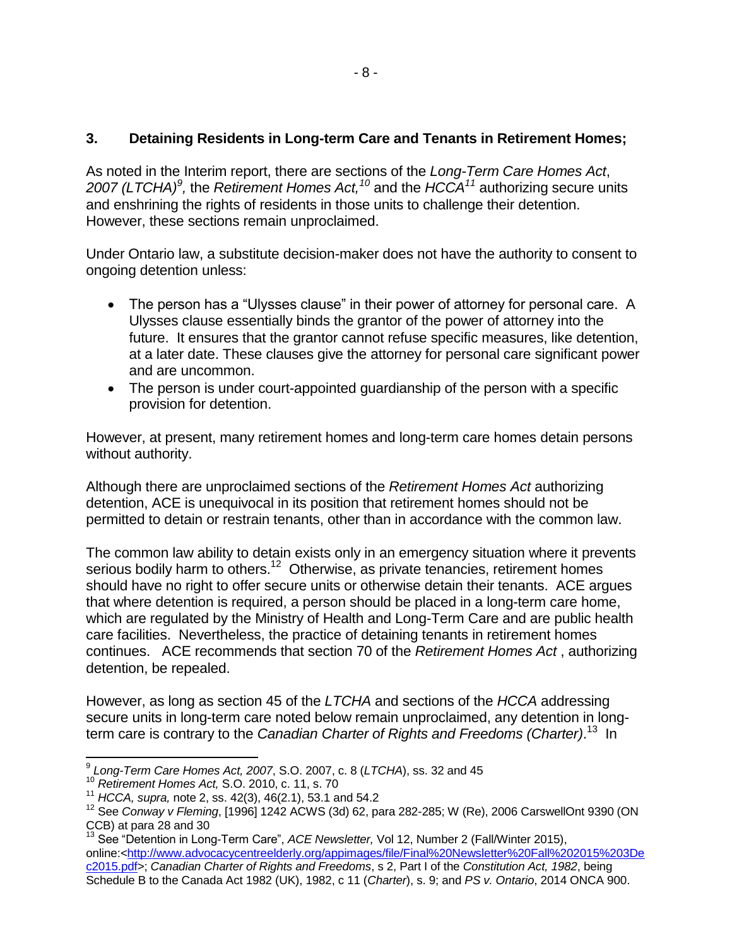### **3. Detaining Residents in Long-term Care and Tenants in Retirement Homes;**

<span id="page-7-0"></span>As noted in the Interim report, there are sections of the *Long-Term Care Homes Act*, *2007 (LTCHA)<sup>9</sup> ,* the *Retirement Homes Act,<sup>10</sup>* and the *HCCA<sup>11</sup>* authorizing secure units and enshrining the rights of residents in those units to challenge their detention. However, these sections remain unproclaimed.

Under Ontario law, a substitute decision-maker does not have the authority to consent to ongoing detention unless:

- The person has a "Ulysses clause" in their power of attorney for personal care. A Ulysses clause essentially binds the grantor of the power of attorney into the future. It ensures that the grantor cannot refuse specific measures, like detention, at a later date. These clauses give the attorney for personal care significant power and are uncommon.
- The person is under court-appointed guardianship of the person with a specific provision for detention.

However, at present, many retirement homes and long-term care homes detain persons without authority.

Although there are unproclaimed sections of the *Retirement Homes Act* authorizing detention, ACE is unequivocal in its position that retirement homes should not be permitted to detain or restrain tenants, other than in accordance with the common law.

The common law ability to detain exists only in an emergency situation where it prevents serious bodily harm to others.<sup>12</sup> Otherwise, as private tenancies, retirement homes should have no right to offer secure units or otherwise detain their tenants. ACE argues that where detention is required, a person should be placed in a long-term care home, which are regulated by the Ministry of Health and Long-Term Care and are public health care facilities. Nevertheless, the practice of detaining tenants in retirement homes continues. ACE recommends that section 70 of the *Retirement Homes Act* , authorizing detention, be repealed.

However, as long as section 45 of the *LTCHA* and sections of the *HCCA* addressing secure units in long-term care noted below remain unproclaimed, any detention in longterm care is contrary to the *Canadian Charter of Rights and Freedoms (Charter)*. <sup>13</sup> In

<span id="page-7-1"></span> 9 *Long-Term Care Homes Act, 2007*, S.O. 2007, c. 8 (*LTCHA*), ss. 32 and 45

<sup>10</sup> *Retirement Homes Act,* S.O. 2010, c. 11, s. 70

<sup>11</sup> *HCCA, supra,* note [2,](#page-1-0) ss. 42(3), 46(2.1), 53.1 and 54.2

<sup>12</sup> See *Conway v Fleming*, [1996] 1242 ACWS (3d) 62, para 282-285; W (Re), 2006 CarswellOnt 9390 (ON CCB) at para 28 and 30

<sup>13</sup> See "Detention in Long-Term Care", *ACE Newsletter,* Vol 12, Number 2 (Fall/Winter 2015), online:[<http://www.advocacycentreelderly.org/appimages/file/Final%20Newsletter%20Fall%202015%203De](http://www.advocacycentreelderly.org/appimages/file/Final%20Newsletter%20Fall%202015%203Dec2015.pdf) [c2015.pdf>](http://www.advocacycentreelderly.org/appimages/file/Final%20Newsletter%20Fall%202015%203Dec2015.pdf); *Canadian Charter of Rights and Freedoms*, s 2, Part I of the *Constitution Act, 1982*, being Schedule B to the Canada Act 1982 (UK), 1982, c 11 (*Charter*), s. 9; and *PS v. Ontario*, 2014 ONCA 900.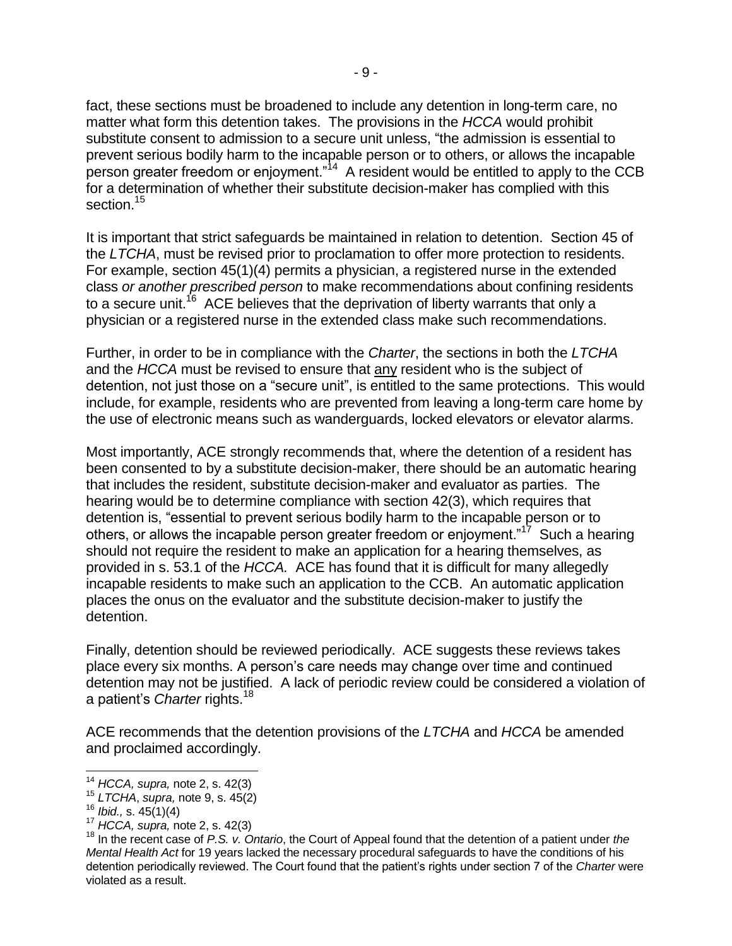fact, these sections must be broadened to include any detention in long-term care, no matter what form this detention takes. The provisions in the *HCCA* would prohibit substitute consent to admission to a secure unit unless, "the admission is essential to prevent serious bodily harm to the incapable person or to others, or allows the incapable person greater freedom or enjoyment."<sup>14</sup> A resident would be entitled to apply to the CCB for a determination of whether their substitute decision-maker has complied with this section.<sup>15</sup>

It is important that strict safeguards be maintained in relation to detention. Section 45 of the *LTCHA*, must be revised prior to proclamation to offer more protection to residents. For example, section 45(1)(4) permits a physician, a registered nurse in the extended class *or another prescribed person* to make recommendations about confining residents to a secure unit.<sup>16</sup> ACE believes that the deprivation of liberty warrants that only a physician or a registered nurse in the extended class make such recommendations.

Further, in order to be in compliance with the *Charter*, the sections in both the *LTCHA* and the *HCCA* must be revised to ensure that any resident who is the subject of detention, not just those on a "secure unit", is entitled to the same protections. This would include, for example, residents who are prevented from leaving a long-term care home by the use of electronic means such as wanderguards, locked elevators or elevator alarms.

Most importantly, ACE strongly recommends that, where the detention of a resident has been consented to by a substitute decision-maker, there should be an automatic hearing that includes the resident, substitute decision-maker and evaluator as parties. The hearing would be to determine compliance with section 42(3), which requires that detention is, "essential to prevent serious bodily harm to the incapable person or to others, or allows the incapable person greater freedom or enjoyment."<sup>17</sup> Such a hearing should not require the resident to make an application for a hearing themselves, as provided in s. 53.1 of the *HCCA.* ACE has found that it is difficult for many allegedly incapable residents to make such an application to the CCB. An automatic application places the onus on the evaluator and the substitute decision-maker to justify the detention.

Finally, detention should be reviewed periodically. ACE suggests these reviews takes place every six months. A person's care needs may change over time and continued detention may not be justified. A lack of periodic review could be considered a violation of a patient's *Charter* rights.<sup>18</sup>

ACE recommends that the detention provisions of the *LTCHA* and *HCCA* be amended and proclaimed accordingly.

l <sup>14</sup> *HCCA, supra,* note [2,](#page-1-0) s. 42(3)

<sup>15</sup> *LTCHA*, *supra,* note [9,](#page-7-0) s. 45(2)

<sup>16</sup> *Ibid.,* s. 45(1)(4)

<sup>17</sup> *HCCA, supra,* note [2,](#page-1-0) s. 42(3)

<sup>18</sup> In the recent case of *P.S. v. Ontario*, the Court of Appeal found that the detention of a patient under *the Mental Health Act* for 19 years lacked the necessary procedural safeguards to have the conditions of his detention periodically reviewed. The Court found that the patient's rights under section 7 of the *Charter* were violated as a result.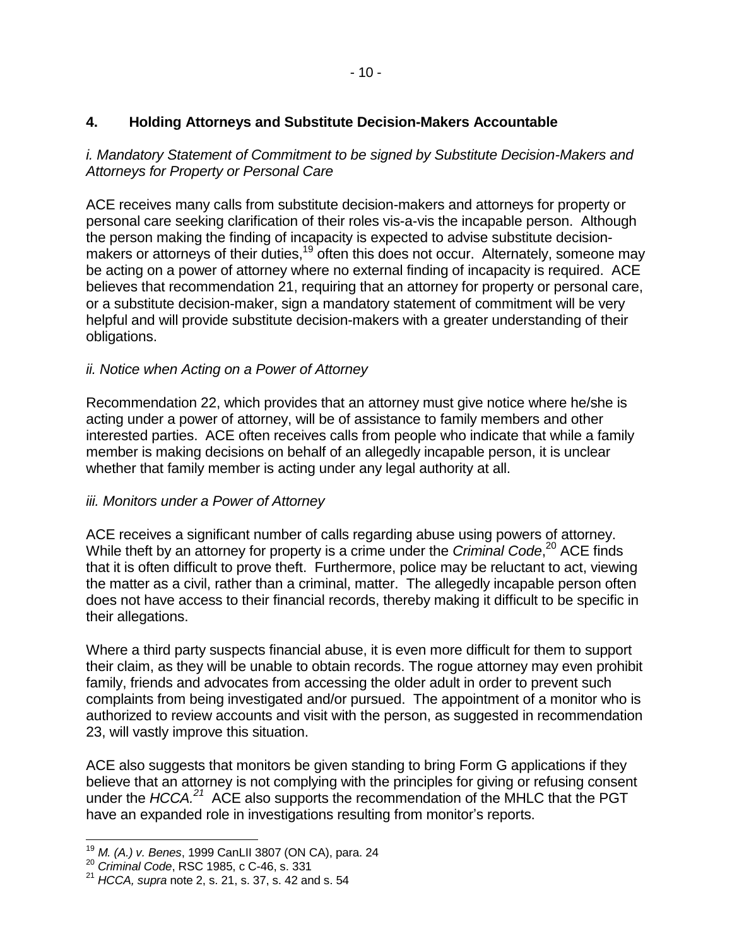### **4. Holding Attorneys and Substitute Decision-Makers Accountable**

*i. Mandatory Statement of Commitment to be signed by Substitute Decision-Makers and Attorneys for Property or Personal Care*

ACE receives many calls from substitute decision-makers and attorneys for property or personal care seeking clarification of their roles vis-a-vis the incapable person. Although the person making the finding of incapacity is expected to advise substitute decisionmakers or attorneys of their duties,<sup>19</sup> often this does not occur. Alternately, someone may be acting on a power of attorney where no external finding of incapacity is required. ACE believes that recommendation 21, requiring that an attorney for property or personal care, or a substitute decision-maker, sign a mandatory statement of commitment will be very helpful and will provide substitute decision-makers with a greater understanding of their obligations.

### *ii. Notice when Acting on a Power of Attorney*

Recommendation 22, which provides that an attorney must give notice where he/she is acting under a power of attorney, will be of assistance to family members and other interested parties. ACE often receives calls from people who indicate that while a family member is making decisions on behalf of an allegedly incapable person, it is unclear whether that family member is acting under any legal authority at all.

### *iii. Monitors under a Power of Attorney*

ACE receives a significant number of calls regarding abuse using powers of attorney. While theft by an attorney for property is a crime under the *Criminal Code*, <sup>20</sup> ACE finds that it is often difficult to prove theft. Furthermore, police may be reluctant to act, viewing the matter as a civil, rather than a criminal, matter. The allegedly incapable person often does not have access to their financial records, thereby making it difficult to be specific in their allegations.

Where a third party suspects financial abuse, it is even more difficult for them to support their claim, as they will be unable to obtain records. The rogue attorney may even prohibit family, friends and advocates from accessing the older adult in order to prevent such complaints from being investigated and/or pursued. The appointment of a monitor who is authorized to review accounts and visit with the person, as suggested in recommendation 23, will vastly improve this situation.

ACE also suggests that monitors be given standing to bring Form G applications if they believe that an attorney is not complying with the principles for giving or refusing consent under the *HCCA.<sup>21</sup>* ACE also supports the recommendation of the MHLC that the PGT have an expanded role in investigations resulting from monitor's reports.

 $\overline{a}$ <sup>19</sup> *M. (A.) v. Benes*, 1999 CanLII 3807 (ON CA), para. 24

<sup>20</sup> *Criminal Code*, RSC 1985, c C-46, s. 331

<sup>21</sup> *HCCA, supra* note [2,](#page-1-0) s. 21, s. 37, s. 42 and s. 54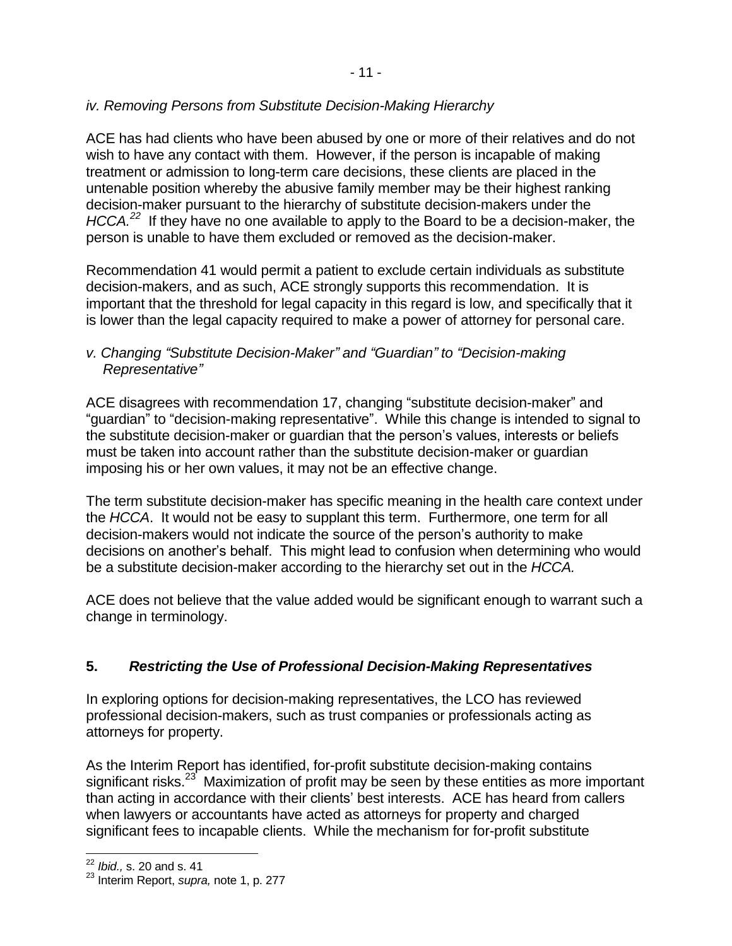### *iv. Removing Persons from Substitute Decision-Making Hierarchy*

ACE has had clients who have been abused by one or more of their relatives and do not wish to have any contact with them. However, if the person is incapable of making treatment or admission to long-term care decisions, these clients are placed in the untenable position whereby the abusive family member may be their highest ranking decision-maker pursuant to the hierarchy of substitute decision-makers under the *HCCA.<sup>22</sup>* If they have no one available to apply to the Board to be a decision-maker, the person is unable to have them excluded or removed as the decision-maker.

Recommendation 41 would permit a patient to exclude certain individuals as substitute decision-makers, and as such, ACE strongly supports this recommendation. It is important that the threshold for legal capacity in this regard is low, and specifically that it is lower than the legal capacity required to make a power of attorney for personal care.

### *v. Changing "Substitute Decision-Maker" and "Guardian" to "Decision-making Representative"*

ACE disagrees with recommendation 17, changing "substitute decision-maker" and "guardian" to "decision-making representative". While this change is intended to signal to the substitute decision-maker or guardian that the person's values, interests or beliefs must be taken into account rather than the substitute decision-maker or guardian imposing his or her own values, it may not be an effective change.

The term substitute decision-maker has specific meaning in the health care context under the *HCCA*. It would not be easy to supplant this term. Furthermore, one term for all decision-makers would not indicate the source of the person's authority to make decisions on another's behalf. This might lead to confusion when determining who would be a substitute decision-maker according to the hierarchy set out in the *HCCA.* 

ACE does not believe that the value added would be significant enough to warrant such a change in terminology.

## **5.** *Restricting the Use of Professional Decision-Making Representatives*

In exploring options for decision-making representatives, the LCO has reviewed professional decision-makers, such as trust companies or professionals acting as attorneys for property.

As the Interim Report has identified, for-profit substitute decision-making contains significant risks.<sup>23</sup> Maximization of profit may be seen by these entities as more important than acting in accordance with their clients' best interests. ACE has heard from callers when lawyers or accountants have acted as attorneys for property and charged significant fees to incapable clients. While the mechanism for for-profit substitute

 $\overline{a}$ <sup>22</sup> *Ibid.,* s. 20 and s. 41

<sup>23</sup> Interim Report, *supra,* note [1,](#page-0-0) p. 277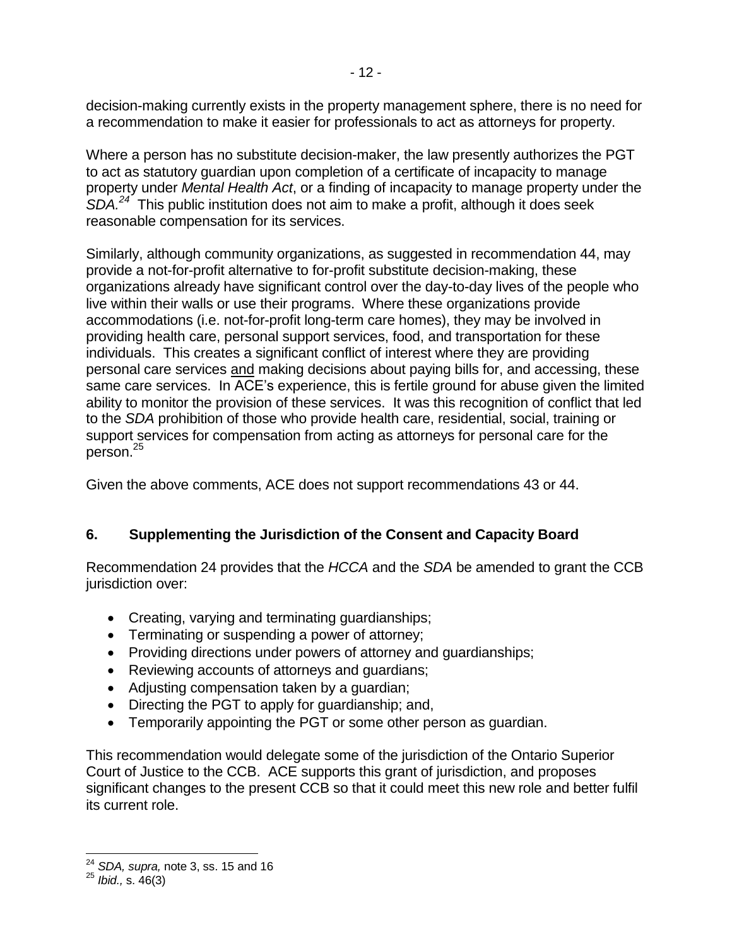decision-making currently exists in the property management sphere, there is no need for a recommendation to make it easier for professionals to act as attorneys for property.

Where a person has no substitute decision-maker, the law presently authorizes the PGT to act as statutory guardian upon completion of a certificate of incapacity to manage property under *Mental Health Act*, or a finding of incapacity to manage property under the *SDA.<sup>24</sup>* This public institution does not aim to make a profit, although it does seek reasonable compensation for its services.

Similarly, although community organizations, as suggested in recommendation 44, may provide a not-for-profit alternative to for-profit substitute decision-making, these organizations already have significant control over the day-to-day lives of the people who live within their walls or use their programs. Where these organizations provide accommodations (i.e. not-for-profit long-term care homes), they may be involved in providing health care, personal support services, food, and transportation for these individuals. This creates a significant conflict of interest where they are providing personal care services and making decisions about paying bills for, and accessing, these same care services. In ACE's experience, this is fertile ground for abuse given the limited ability to monitor the provision of these services. It was this recognition of conflict that led to the *SDA* prohibition of those who provide health care, residential, social, training or support services for compensation from acting as attorneys for personal care for the person.<sup>25</sup>

Given the above comments, ACE does not support recommendations 43 or 44.

## **6. Supplementing the Jurisdiction of the Consent and Capacity Board**

Recommendation 24 provides that the *HCCA* and the *SDA* be amended to grant the CCB jurisdiction over:

- Creating, varying and terminating guardianships;
- Terminating or suspending a power of attorney;
- Providing directions under powers of attorney and guardianships;
- Reviewing accounts of attorneys and guardians;
- Adjusting compensation taken by a guardian;
- Directing the PGT to apply for quardianship; and,
- Temporarily appointing the PGT or some other person as guardian.

This recommendation would delegate some of the jurisdiction of the Ontario Superior Court of Justice to the CCB. ACE supports this grant of jurisdiction, and proposes significant changes to the present CCB so that it could meet this new role and better fulfil its current role.

 $\overline{a}$ <sup>24</sup> *SDA, supra,* note [3,](#page-1-1) ss. 15 and 16

<sup>25</sup> *Ibid.,* s. 46(3)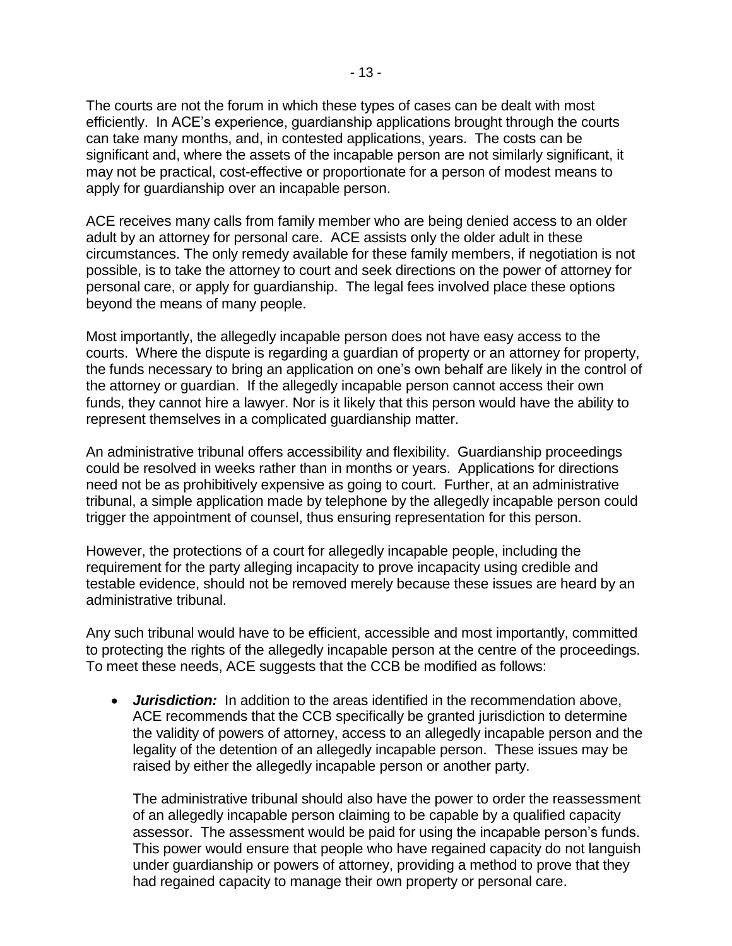The courts are not the forum in which these types of cases can be dealt with most efficiently. In ACE's experience, guardianship applications brought through the courts can take many months, and, in contested applications, years. The costs can be significant and, where the assets of the incapable person are not similarly significant, it may not be practical, cost-effective or proportionate for a person of modest means to apply for guardianship over an incapable person.

ACE receives many calls from family member who are being denied access to an older adult by an attorney for personal care. ACE assists only the older adult in these circumstances. The only remedy available for these family members, if negotiation is not possible, is to take the attorney to court and seek directions on the power of attorney for personal care, or apply for guardianship. The legal fees involved place these options beyond the means of many people.

Most importantly, the allegedly incapable person does not have easy access to the courts. Where the dispute is regarding a guardian of property or an attorney for property, the funds necessary to bring an application on one's own behalf are likely in the control of the attorney or guardian. If the allegedly incapable person cannot access their own funds, they cannot hire a lawyer. Nor is it likely that this person would have the ability to represent themselves in a complicated guardianship matter.

An administrative tribunal offers accessibility and flexibility. Guardianship proceedings could be resolved in weeks rather than in months or years. Applications for directions need not be as prohibitively expensive as going to court. Further, at an administrative tribunal, a simple application made by telephone by the allegedly incapable person could trigger the appointment of counsel, thus ensuring representation for this person.

However, the protections of a court for allegedly incapable people, including the requirement for the party alleging incapacity to prove incapacity using credible and testable evidence, should not be removed merely because these issues are heard by an administrative tribunal.

Any such tribunal would have to be efficient, accessible and most importantly, committed to protecting the rights of the allegedly incapable person at the centre of the proceedings. To meet these needs, ACE suggests that the CCB be modified as follows:

 *Jurisdiction:* In addition to the areas identified in the recommendation above, ACE recommends that the CCB specifically be granted jurisdiction to determine the validity of powers of attorney, access to an allegedly incapable person and the legality of the detention of an allegedly incapable person. These issues may be raised by either the allegedly incapable person or another party.

The administrative tribunal should also have the power to order the reassessment of an allegedly incapable person claiming to be capable by a qualified capacity assessor. The assessment would be paid for using the incapable person's funds. This power would ensure that people who have regained capacity do not languish under guardianship or powers of attorney, providing a method to prove that they had regained capacity to manage their own property or personal care.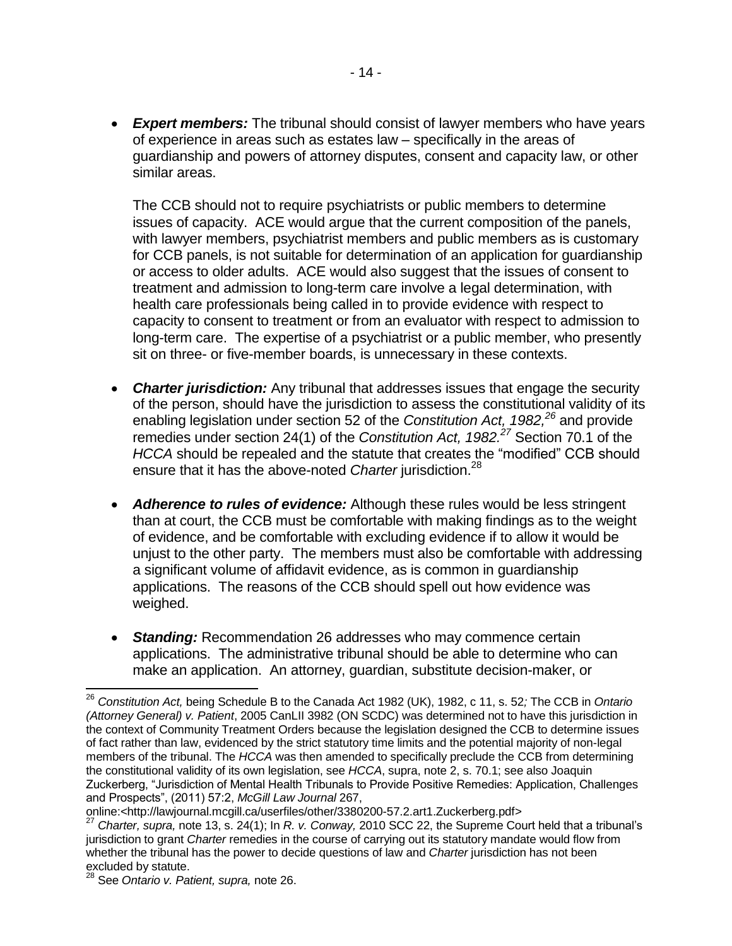*Expert members:* The tribunal should consist of lawyer members who have years of experience in areas such as estates law – specifically in the areas of guardianship and powers of attorney disputes, consent and capacity law, or other similar areas.

The CCB should not to require psychiatrists or public members to determine issues of capacity. ACE would argue that the current composition of the panels, with lawyer members, psychiatrist members and public members as is customary for CCB panels, is not suitable for determination of an application for guardianship or access to older adults. ACE would also suggest that the issues of consent to treatment and admission to long-term care involve a legal determination, with health care professionals being called in to provide evidence with respect to capacity to consent to treatment or from an evaluator with respect to admission to long-term care. The expertise of a psychiatrist or a public member, who presently sit on three- or five-member boards, is unnecessary in these contexts.

- <span id="page-13-0"></span> *Charter jurisdiction:* Any tribunal that addresses issues that engage the security of the person, should have the jurisdiction to assess the constitutional validity of its enabling legislation under section 52 of the *Constitution Act, 1982*,<sup>26</sup> and provide remedies under section 24(1) of the *Constitution Act, 1982.<sup>27</sup>* Section 70.1 of the *HCCA* should be repealed and the statute that creates the "modified" CCB should ensure that it has the above-noted *Charter* jurisdiction.<sup>28</sup>
- *Adherence to rules of evidence:* Although these rules would be less stringent than at court, the CCB must be comfortable with making findings as to the weight of evidence, and be comfortable with excluding evidence if to allow it would be unjust to the other party. The members must also be comfortable with addressing a significant volume of affidavit evidence, as is common in guardianship applications. The reasons of the CCB should spell out how evidence was weighed.
- *Standing:* Recommendation 26 addresses who may commence certain applications. The administrative tribunal should be able to determine who can make an application. An attorney, guardian, substitute decision-maker, or

 $\overline{a}$ 

<sup>26</sup> *Constitution Act,* being Schedule B to the Canada Act 1982 (UK), 1982, c 11, s. 52*;* The CCB in *Ontario (Attorney General) v. Patient*, 2005 CanLII 3982 (ON SCDC) was determined not to have this jurisdiction in the context of Community Treatment Orders because the legislation designed the CCB to determine issues of fact rather than law, evidenced by the strict statutory time limits and the potential majority of non-legal members of the tribunal. The *HCCA* was then amended to specifically preclude the CCB from determining the constitutional validity of its own legislation, see *HCCA*, supra, note [2,](#page-1-0) s. 70.1; see also Joaquin Zuckerberg, "Jurisdiction of Mental Health Tribunals to Provide Positive Remedies: Application, Challenges and Prospects", (2011) 57:2, *McGill Law Journal* 267,

online:<http://lawjournal.mcgill.ca/userfiles/other/3380200-57.2.art1.Zuckerberg.pdf>

<sup>27</sup> *Charter, supra,* note [13,](#page-7-1) s. 24(1); In *R. v. Conway,* 2010 SCC 22, the Supreme Court held that a tribunal's jurisdiction to grant *Charter* remedies in the course of carrying out its statutory mandate would flow from whether the tribunal has the power to decide questions of law and *Charter* jurisdiction has not been excluded by statute.

<sup>28</sup> See *Ontario v. Patient, supra,* note [26.](#page-13-0)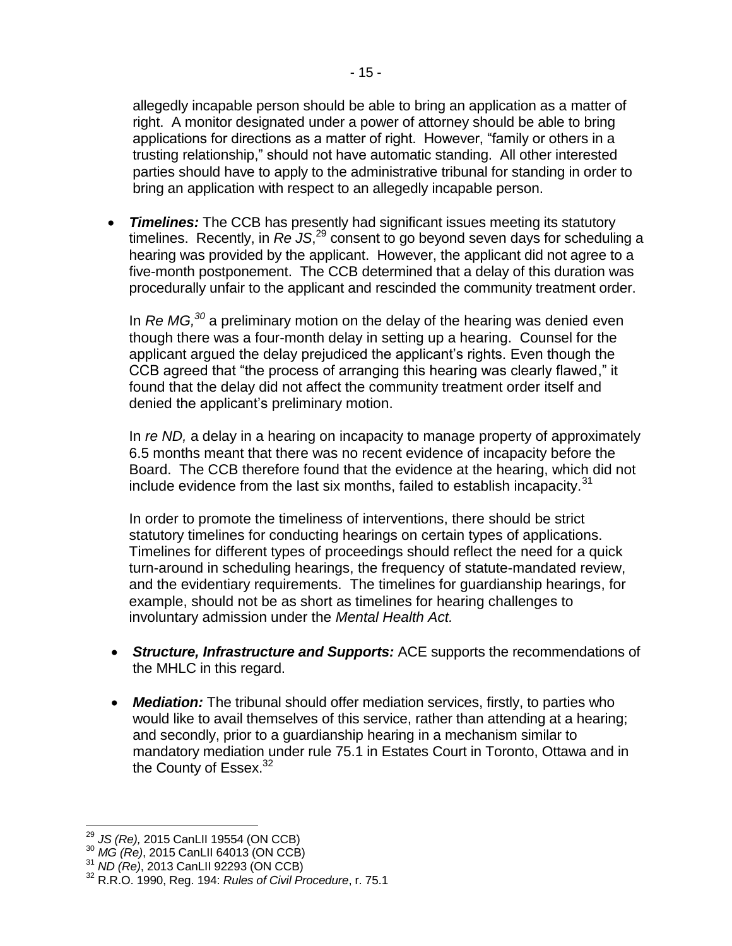allegedly incapable person should be able to bring an application as a matter of right. A monitor designated under a power of attorney should be able to bring applications for directions as a matter of right. However, "family or others in a trusting relationship," should not have automatic standing. All other interested parties should have to apply to the administrative tribunal for standing in order to bring an application with respect to an allegedly incapable person.

 *Timelines:* The CCB has presently had significant issues meeting its statutory timelines. Recently, in *Re JS*, <sup>29</sup> consent to go beyond seven days for scheduling a hearing was provided by the applicant. However, the applicant did not agree to a five-month postponement. The CCB determined that a delay of this duration was procedurally unfair to the applicant and rescinded the community treatment order.

In *Re MG,<sup>30</sup>* a preliminary motion on the delay of the hearing was denied even though there was a four-month delay in setting up a hearing. Counsel for the applicant argued the delay prejudiced the applicant's rights. Even though the CCB agreed that "the process of arranging this hearing was clearly flawed," it found that the delay did not affect the community treatment order itself and denied the applicant's preliminary motion.

In *re ND,* a delay in a hearing on incapacity to manage property of approximately 6.5 months meant that there was no recent evidence of incapacity before the Board. The CCB therefore found that the evidence at the hearing, which did not include evidence from the last six months, failed to establish incapacity. $31$ 

In order to promote the timeliness of interventions, there should be strict statutory timelines for conducting hearings on certain types of applications. Timelines for different types of proceedings should reflect the need for a quick turn-around in scheduling hearings, the frequency of statute-mandated review, and the evidentiary requirements. The timelines for guardianship hearings, for example, should not be as short as timelines for hearing challenges to involuntary admission under the *Mental Health Act.* 

- *Structure, Infrastructure and Supports:* ACE supports the recommendations of the MHLC in this regard.
- <span id="page-14-0"></span> *Mediation:* The tribunal should offer mediation services, firstly, to parties who would like to avail themselves of this service, rather than attending at a hearing; and secondly, prior to a guardianship hearing in a mechanism similar to mandatory mediation under rule 75.1 in Estates Court in Toronto, Ottawa and in the County of Essex. $32$

j

<sup>29</sup> *JS (Re),* 2015 CanLII 19554 (ON CCB)

<sup>30</sup> *MG (Re)*, 2015 CanLII 64013 (ON CCB)

<sup>31</sup> *ND (Re)*, 2013 CanLII 92293 (ON CCB)

<sup>32</sup> R.R.O. 1990, Reg. 194: *Rules of Civil Procedure*, r. 75.1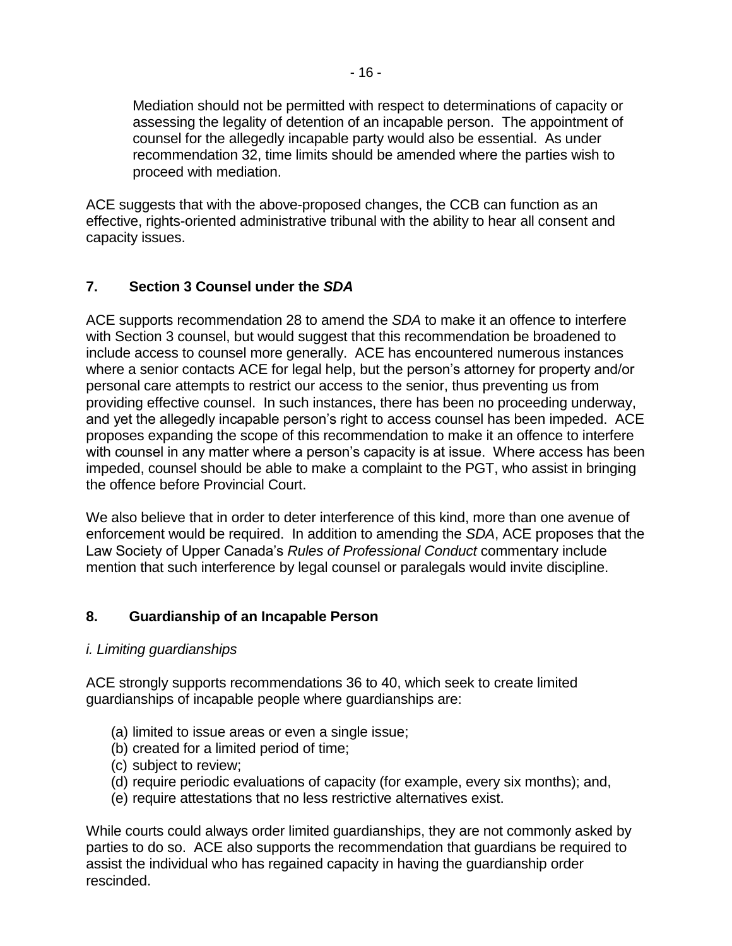Mediation should not be permitted with respect to determinations of capacity or assessing the legality of detention of an incapable person. The appointment of counsel for the allegedly incapable party would also be essential. As under recommendation 32, time limits should be amended where the parties wish to proceed with mediation.

ACE suggests that with the above-proposed changes, the CCB can function as an effective, rights-oriented administrative tribunal with the ability to hear all consent and capacity issues.

### **7. Section 3 Counsel under the** *SDA*

ACE supports recommendation 28 to amend the *SDA* to make it an offence to interfere with Section 3 counsel, but would suggest that this recommendation be broadened to include access to counsel more generally. ACE has encountered numerous instances where a senior contacts ACE for legal help, but the person's attorney for property and/or personal care attempts to restrict our access to the senior, thus preventing us from providing effective counsel. In such instances, there has been no proceeding underway, and yet the allegedly incapable person's right to access counsel has been impeded. ACE proposes expanding the scope of this recommendation to make it an offence to interfere with counsel in any matter where a person's capacity is at issue. Where access has been impeded, counsel should be able to make a complaint to the PGT, who assist in bringing the offence before Provincial Court.

We also believe that in order to deter interference of this kind, more than one avenue of enforcement would be required. In addition to amending the *SDA*, ACE proposes that the Law Society of Upper Canada's *Rules of Professional Conduct* commentary include mention that such interference by legal counsel or paralegals would invite discipline.

### **8. Guardianship of an Incapable Person**

### *i. Limiting guardianships*

ACE strongly supports recommendations 36 to 40, which seek to create limited guardianships of incapable people where guardianships are:

- (a) limited to issue areas or even a single issue;
- (b) created for a limited period of time;
- (c) subject to review;
- (d) require periodic evaluations of capacity (for example, every six months); and,
- (e) require attestations that no less restrictive alternatives exist.

While courts could always order limited guardianships, they are not commonly asked by parties to do so. ACE also supports the recommendation that guardians be required to assist the individual who has regained capacity in having the guardianship order rescinded.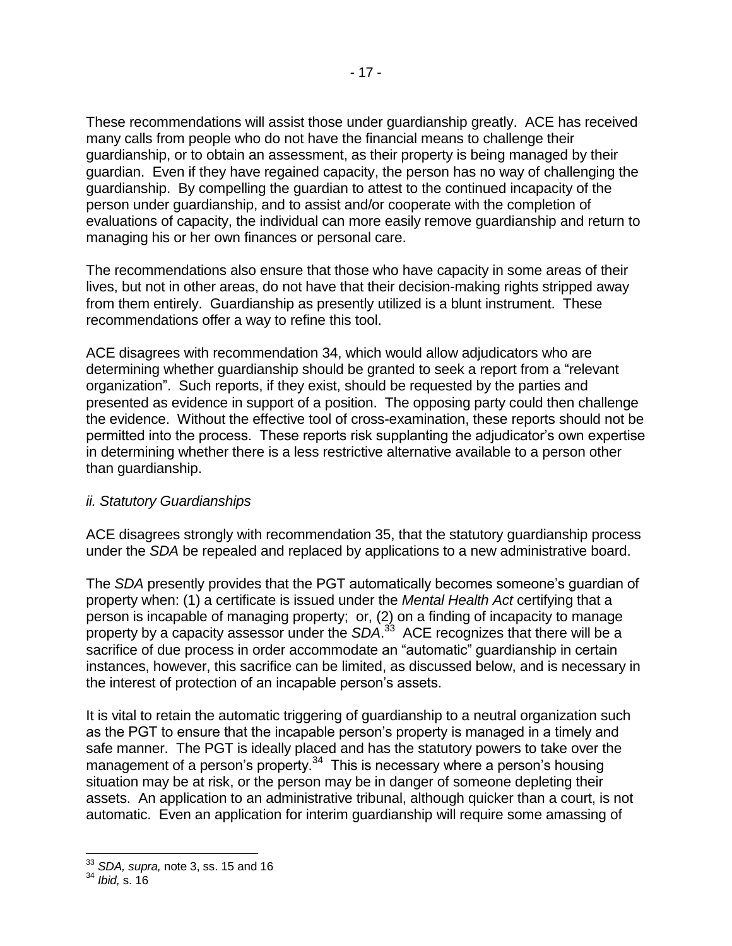These recommendations will assist those under guardianship greatly. ACE has received many calls from people who do not have the financial means to challenge their guardianship, or to obtain an assessment, as their property is being managed by their guardian. Even if they have regained capacity, the person has no way of challenging the guardianship. By compelling the guardian to attest to the continued incapacity of the person under guardianship, and to assist and/or cooperate with the completion of evaluations of capacity, the individual can more easily remove guardianship and return to managing his or her own finances or personal care.

The recommendations also ensure that those who have capacity in some areas of their lives, but not in other areas, do not have that their decision-making rights stripped away from them entirely. Guardianship as presently utilized is a blunt instrument. These recommendations offer a way to refine this tool.

ACE disagrees with recommendation 34, which would allow adjudicators who are determining whether guardianship should be granted to seek a report from a "relevant organization". Such reports, if they exist, should be requested by the parties and presented as evidence in support of a position. The opposing party could then challenge the evidence. Without the effective tool of cross-examination, these reports should not be permitted into the process. These reports risk supplanting the adjudicator's own expertise in determining whether there is a less restrictive alternative available to a person other than guardianship.

### *ii. Statutory Guardianships*

ACE disagrees strongly with recommendation 35, that the statutory guardianship process under the *SDA* be repealed and replaced by applications to a new administrative board.

The *SDA* presently provides that the PGT automatically becomes someone's guardian of property when: (1) a certificate is issued under the *Mental Health Act* certifying that a person is incapable of managing property; or, (2) on a finding of incapacity to manage property by a capacity assessor under the *SDA*. 33 ACE recognizes that there will be a sacrifice of due process in order accommodate an "automatic" guardianship in certain instances, however, this sacrifice can be limited, as discussed below, and is necessary in the interest of protection of an incapable person's assets.

It is vital to retain the automatic triggering of guardianship to a neutral organization such as the PGT to ensure that the incapable person's property is managed in a timely and safe manner. The PGT is ideally placed and has the statutory powers to take over the management of a person's property.<sup>34</sup> This is necessary where a person's housing situation may be at risk, or the person may be in danger of someone depleting their assets. An application to an administrative tribunal, although quicker than a court, is not automatic. Even an application for interim guardianship will require some amassing of

 $\overline{\phantom{a}}$ 

<sup>33</sup> *SDA, supra,* note [3,](#page-1-1) ss. 15 and 16

<sup>34</sup> *Ibid,* s. 16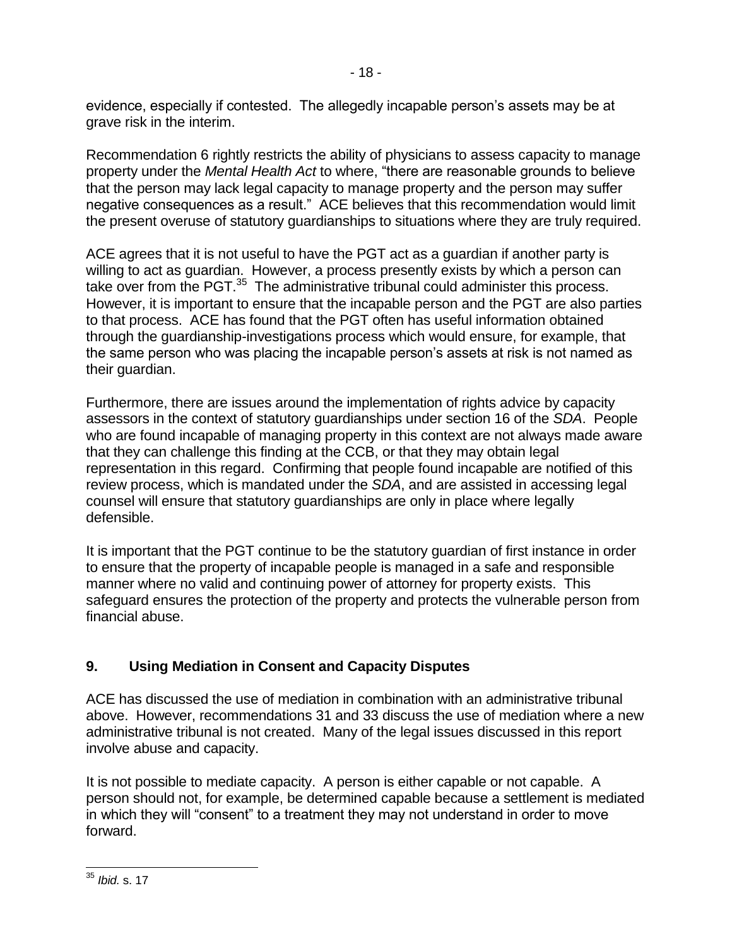evidence, especially if contested. The allegedly incapable person's assets may be at grave risk in the interim.

Recommendation 6 rightly restricts the ability of physicians to assess capacity to manage property under the *Mental Health Act* to where, "there are reasonable grounds to believe that the person may lack legal capacity to manage property and the person may suffer negative consequences as a result." ACE believes that this recommendation would limit the present overuse of statutory guardianships to situations where they are truly required.

ACE agrees that it is not useful to have the PGT act as a guardian if another party is willing to act as guardian. However, a process presently exists by which a person can take over from the PGT.<sup>35</sup> The administrative tribunal could administer this process. However, it is important to ensure that the incapable person and the PGT are also parties to that process. ACE has found that the PGT often has useful information obtained through the guardianship-investigations process which would ensure, for example, that the same person who was placing the incapable person's assets at risk is not named as their guardian.

Furthermore, there are issues around the implementation of rights advice by capacity assessors in the context of statutory guardianships under section 16 of the *SDA*. People who are found incapable of managing property in this context are not always made aware that they can challenge this finding at the CCB, or that they may obtain legal representation in this regard. Confirming that people found incapable are notified of this review process, which is mandated under the *SDA*, and are assisted in accessing legal counsel will ensure that statutory guardianships are only in place where legally defensible.

It is important that the PGT continue to be the statutory guardian of first instance in order to ensure that the property of incapable people is managed in a safe and responsible manner where no valid and continuing power of attorney for property exists. This safeguard ensures the protection of the property and protects the vulnerable person from financial abuse.

# **9. Using Mediation in Consent and Capacity Disputes**

ACE has discussed the use of mediation in combination with an administrative tribunal above. However, recommendations 31 and 33 discuss the use of mediation where a new administrative tribunal is not created. Many of the legal issues discussed in this report involve abuse and capacity.

It is not possible to mediate capacity. A person is either capable or not capable. A person should not, for example, be determined capable because a settlement is mediated in which they will "consent" to a treatment they may not understand in order to move forward.

l, <sup>35</sup> *Ibid.* s. 17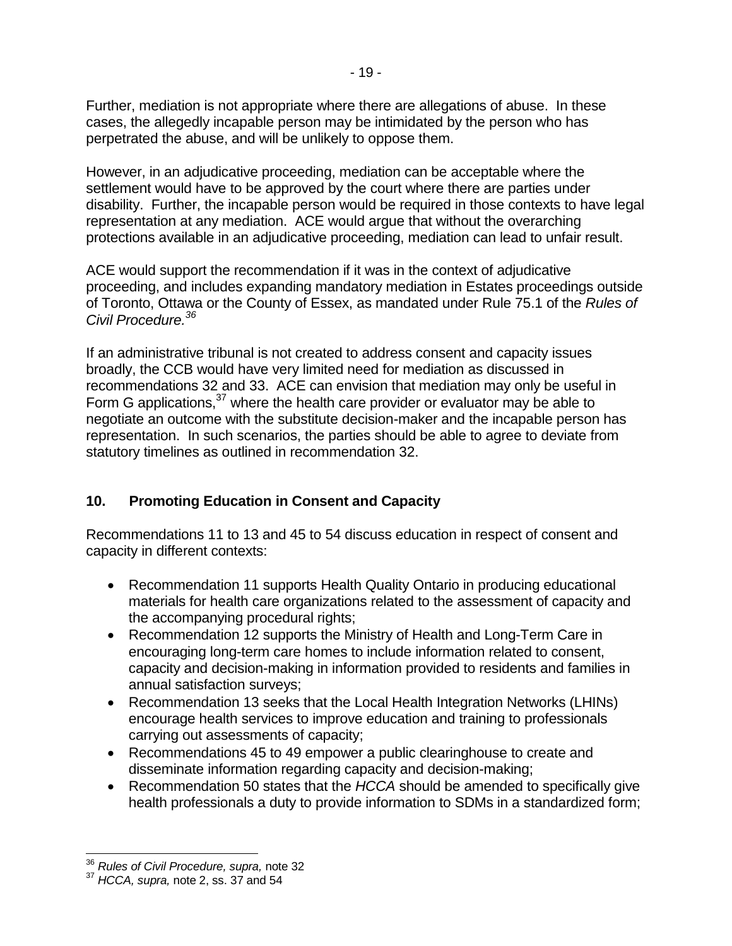Further, mediation is not appropriate where there are allegations of abuse. In these cases, the allegedly incapable person may be intimidated by the person who has perpetrated the abuse, and will be unlikely to oppose them.

However, in an adjudicative proceeding, mediation can be acceptable where the settlement would have to be approved by the court where there are parties under disability. Further, the incapable person would be required in those contexts to have legal representation at any mediation. ACE would argue that without the overarching protections available in an adjudicative proceeding, mediation can lead to unfair result.

ACE would support the recommendation if it was in the context of adjudicative proceeding, and includes expanding mandatory mediation in Estates proceedings outside of Toronto, Ottawa or the County of Essex, as mandated under Rule 75.1 of the *Rules of Civil Procedure.<sup>36</sup>*

If an administrative tribunal is not created to address consent and capacity issues broadly, the CCB would have very limited need for mediation as discussed in recommendations 32 and 33. ACE can envision that mediation may only be useful in Form G applications,  $37$  where the health care provider or evaluator may be able to negotiate an outcome with the substitute decision-maker and the incapable person has representation. In such scenarios, the parties should be able to agree to deviate from statutory timelines as outlined in recommendation 32.

### **10. Promoting Education in Consent and Capacity**

Recommendations 11 to 13 and 45 to 54 discuss education in respect of consent and capacity in different contexts:

- Recommendation 11 supports Health Quality Ontario in producing educational materials for health care organizations related to the assessment of capacity and the accompanying procedural rights;
- Recommendation 12 supports the Ministry of Health and Long-Term Care in encouraging long-term care homes to include information related to consent, capacity and decision-making in information provided to residents and families in annual satisfaction surveys;
- Recommendation 13 seeks that the Local Health Integration Networks (LHINs) encourage health services to improve education and training to professionals carrying out assessments of capacity;
- Recommendations 45 to 49 empower a public clearinghouse to create and disseminate information regarding capacity and decision-making;
- Recommendation 50 states that the *HCCA* should be amended to specifically give health professionals a duty to provide information to SDMs in a standardized form;

 $\overline{\phantom{a}}$ 

<sup>36</sup> *Rules of Civil Procedure, supra,* not[e 32](#page-14-0)

<sup>37</sup> *HCCA, supra,* note [2,](#page-1-0) ss. 37 and 54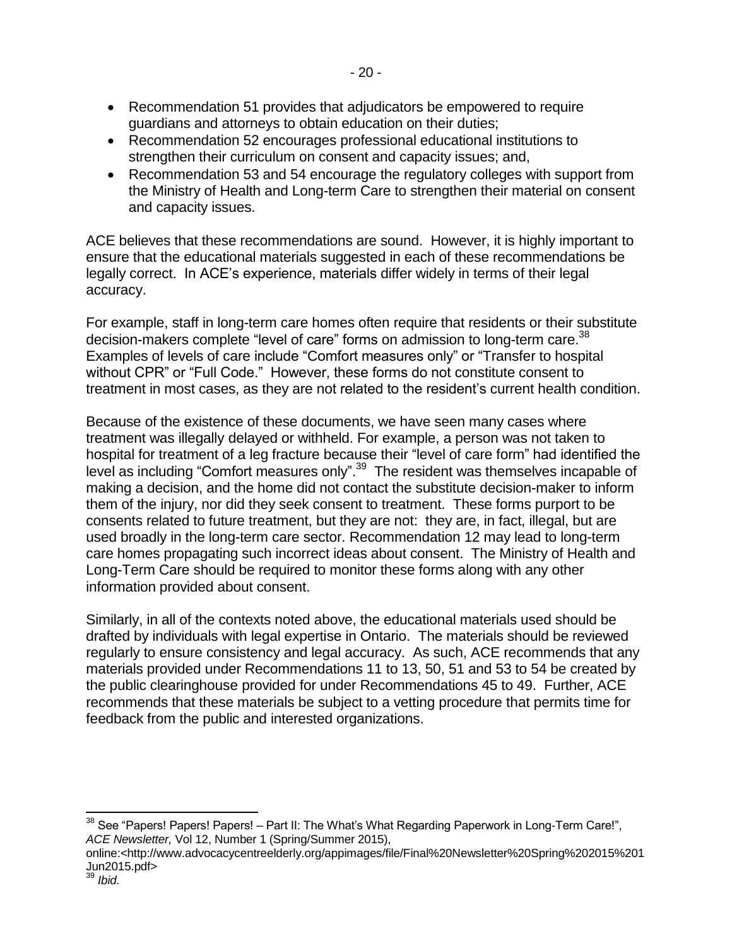- Recommendation 51 provides that adjudicators be empowered to require guardians and attorneys to obtain education on their duties;
- Recommendation 52 encourages professional educational institutions to strengthen their curriculum on consent and capacity issues; and,
- Recommendation 53 and 54 encourage the regulatory colleges with support from the Ministry of Health and Long-term Care to strengthen their material on consent and capacity issues.

ACE believes that these recommendations are sound. However, it is highly important to ensure that the educational materials suggested in each of these recommendations be legally correct. In ACE's experience, materials differ widely in terms of their legal accuracy.

For example, staff in long-term care homes often require that residents or their substitute decision-makers complete "level of care" forms on admission to long-term care. 38 Examples of levels of care include "Comfort measures only" or "Transfer to hospital without CPR" or "Full Code." However, these forms do not constitute consent to treatment in most cases, as they are not related to the resident's current health condition.

Because of the existence of these documents, we have seen many cases where treatment was illegally delayed or withheld. For example, a person was not taken to hospital for treatment of a leg fracture because their "level of care form" had identified the level as including "Comfort measures only".<sup>39</sup> The resident was themselves incapable of making a decision, and the home did not contact the substitute decision-maker to inform them of the injury, nor did they seek consent to treatment. These forms purport to be consents related to future treatment, but they are not: they are, in fact, illegal, but are used broadly in the long-term care sector. Recommendation 12 may lead to long-term care homes propagating such incorrect ideas about consent. The Ministry of Health and Long-Term Care should be required to monitor these forms along with any other information provided about consent.

Similarly, in all of the contexts noted above, the educational materials used should be drafted by individuals with legal expertise in Ontario. The materials should be reviewed regularly to ensure consistency and legal accuracy. As such, ACE recommends that any materials provided under Recommendations 11 to 13, 50, 51 and 53 to 54 be created by the public clearinghouse provided for under Recommendations 45 to 49. Further, ACE recommends that these materials be subject to a vetting procedure that permits time for feedback from the public and interested organizations.

l  $38$  See "Papers! Papers! Papers! – Part II: The What's What Regarding Paperwork in Long-Term Care!", *ACE Newsletter,* Vol 12, Number 1 (Spring/Summer 2015),

online:<http://www.advocacycentreelderly.org/appimages/file/Final%20Newsletter%20Spring%202015%201 Jun2015.pdf>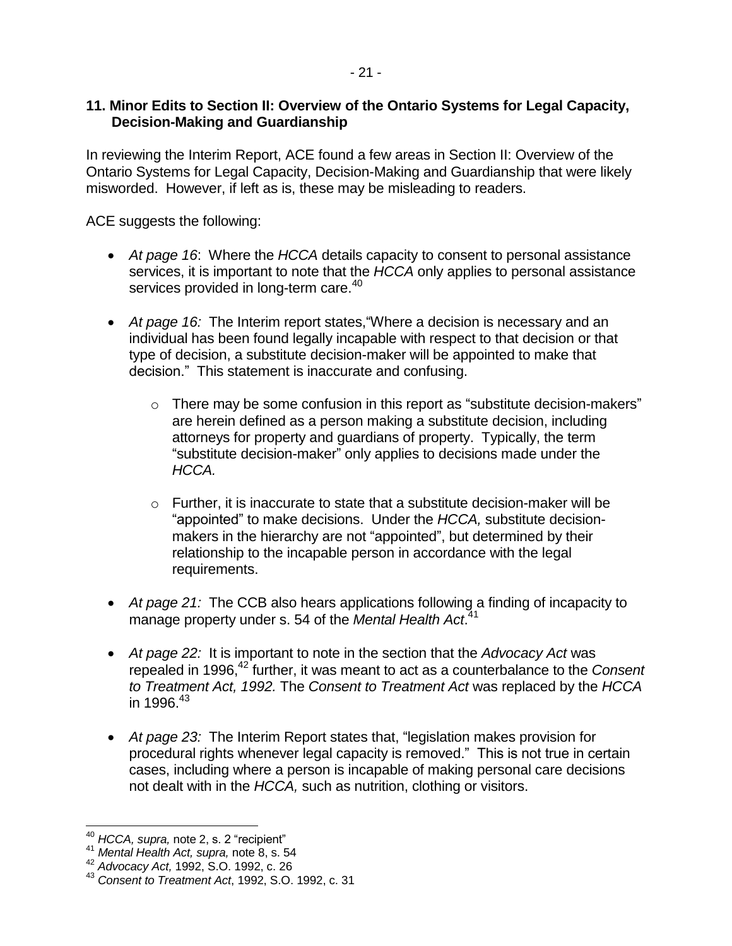### **11. Minor Edits to Section II: Overview of the Ontario Systems for Legal Capacity, Decision-Making and Guardianship**

In reviewing the Interim Report, ACE found a few areas in Section II: Overview of the Ontario Systems for Legal Capacity, Decision-Making and Guardianship that were likely misworded. However, if left as is, these may be misleading to readers.

ACE suggests the following:

- *At page 16*: Where the *HCCA* details capacity to consent to personal assistance services, it is important to note that the *HCCA* only applies to personal assistance services provided in long-term care.<sup>40</sup>
- *At page 16:* The Interim report states,"Where a decision is necessary and an individual has been found legally incapable with respect to that decision or that type of decision, a substitute decision-maker will be appointed to make that decision." This statement is inaccurate and confusing.
	- $\circ$  There may be some confusion in this report as "substitute decision-makers" are herein defined as a person making a substitute decision, including attorneys for property and guardians of property. Typically, the term "substitute decision-maker" only applies to decisions made under the *HCCA.*
	- $\circ$  Further, it is inaccurate to state that a substitute decision-maker will be "appointed" to make decisions. Under the *HCCA,* substitute decisionmakers in the hierarchy are not "appointed", but determined by their relationship to the incapable person in accordance with the legal requirements.
- *At page 21:* The CCB also hears applications following a finding of incapacity to manage property under s. 54 of the *Mental Health Act*. 41
- *At page 22:* It is important to note in the section that the *Advocacy Act* was repealed in 1996, <sup>42</sup> further, it was meant to act as a counterbalance to the *Consent to Treatment Act, 1992.* The *Consent to Treatment Act* was replaced by the *HCCA* in 1996. 43
- *At page 23:* The Interim Report states that, "legislation makes provision for procedural rights whenever legal capacity is removed." This is not true in certain cases, including where a person is incapable of making personal care decisions not dealt with in the *HCCA,* such as nutrition, clothing or visitors.

l,

<sup>40</sup> *HCCA, supra,* note [2,](#page-1-0) s. 2 "recipient"

<sup>41</sup> *Mental Health Act, supra,* note [8,](#page-6-0) s. 54

<sup>42</sup> *Advocacy Act,* 1992, S.O. 1992, c. 26

<sup>43</sup> *Consent to Treatment Act*, 1992, S.O. 1992, c. 31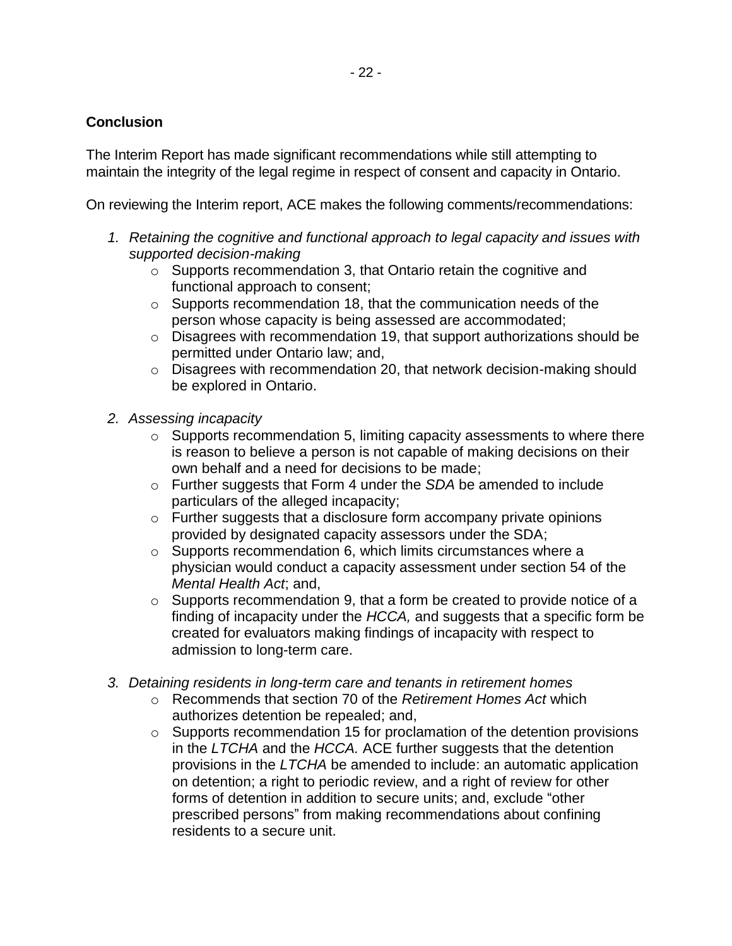### **Conclusion**

The Interim Report has made significant recommendations while still attempting to maintain the integrity of the legal regime in respect of consent and capacity in Ontario.

On reviewing the Interim report, ACE makes the following comments/recommendations:

- *1. Retaining the cognitive and functional approach to legal capacity and issues with supported decision-making*
	- $\circ$  Supports recommendation 3, that Ontario retain the cognitive and functional approach to consent;
	- o Supports recommendation 18, that the communication needs of the person whose capacity is being assessed are accommodated;
	- o Disagrees with recommendation 19, that support authorizations should be permitted under Ontario law; and,
	- o Disagrees with recommendation 20, that network decision-making should be explored in Ontario.
- *2. Assessing incapacity*
	- $\circ$  Supports recommendation 5, limiting capacity assessments to where there is reason to believe a person is not capable of making decisions on their own behalf and a need for decisions to be made;
	- o Further suggests that Form 4 under the *SDA* be amended to include particulars of the alleged incapacity;
	- $\circ$  Further suggests that a disclosure form accompany private opinions provided by designated capacity assessors under the SDA;
	- o Supports recommendation 6, which limits circumstances where a physician would conduct a capacity assessment under section 54 of the *Mental Health Act*; and,
	- o Supports recommendation 9, that a form be created to provide notice of a finding of incapacity under the *HCCA,* and suggests that a specific form be created for evaluators making findings of incapacity with respect to admission to long-term care.
- *3. Detaining residents in long-term care and tenants in retirement homes*
	- o Recommends that section 70 of the *Retirement Homes Act* which authorizes detention be repealed; and,
	- o Supports recommendation 15 for proclamation of the detention provisions in the *LTCHA* and the *HCCA.* ACE further suggests that the detention provisions in the *LTCHA* be amended to include: an automatic application on detention; a right to periodic review, and a right of review for other forms of detention in addition to secure units; and, exclude "other prescribed persons" from making recommendations about confining residents to a secure unit.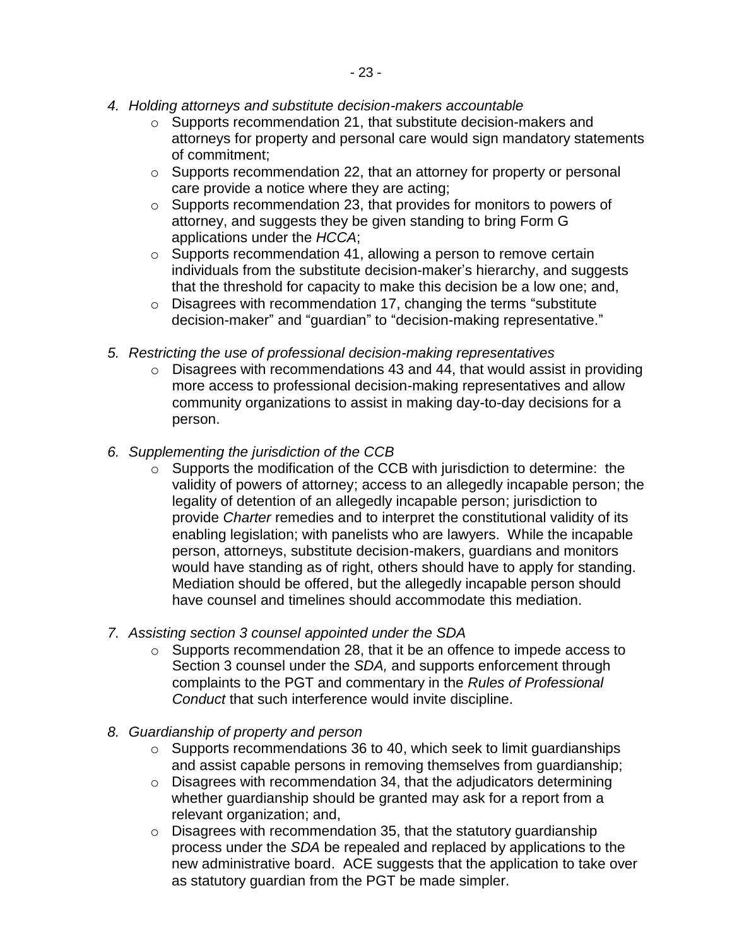- *4. Holding attorneys and substitute decision-makers accountable*
	- o Supports recommendation 21, that substitute decision-makers and attorneys for property and personal care would sign mandatory statements of commitment;
	- o Supports recommendation 22, that an attorney for property or personal care provide a notice where they are acting;
	- o Supports recommendation 23, that provides for monitors to powers of attorney, and suggests they be given standing to bring Form G applications under the *HCCA*;
	- o Supports recommendation 41, allowing a person to remove certain individuals from the substitute decision-maker's hierarchy, and suggests that the threshold for capacity to make this decision be a low one; and,
	- $\circ$  Disagrees with recommendation 17, changing the terms "substitute decision-maker" and "guardian" to "decision-making representative."
- *5. Restricting the use of professional decision-making representatives* 
	- $\circ$  Disagrees with recommendations 43 and 44, that would assist in providing more access to professional decision-making representatives and allow community organizations to assist in making day-to-day decisions for a person.
- *6. Supplementing the jurisdiction of the CCB*
	- o Supports the modification of the CCB with jurisdiction to determine: the validity of powers of attorney; access to an allegedly incapable person; the legality of detention of an allegedly incapable person; jurisdiction to provide *Charter* remedies and to interpret the constitutional validity of its enabling legislation; with panelists who are lawyers. While the incapable person, attorneys, substitute decision-makers, guardians and monitors would have standing as of right, others should have to apply for standing. Mediation should be offered, but the allegedly incapable person should have counsel and timelines should accommodate this mediation.
- *7. Assisting section 3 counsel appointed under the SDA*
	- o Supports recommendation 28, that it be an offence to impede access to Section 3 counsel under the *SDA,* and supports enforcement through complaints to the PGT and commentary in the *Rules of Professional Conduct* that such interference would invite discipline.
- *8. Guardianship of property and person* 
	- o Supports recommendations 36 to 40, which seek to limit guardianships and assist capable persons in removing themselves from guardianship;
	- $\circ$  Disagrees with recommendation 34, that the adjudicators determining whether guardianship should be granted may ask for a report from a relevant organization; and,
	- o Disagrees with recommendation 35, that the statutory guardianship process under the *SDA* be repealed and replaced by applications to the new administrative board. ACE suggests that the application to take over as statutory guardian from the PGT be made simpler.